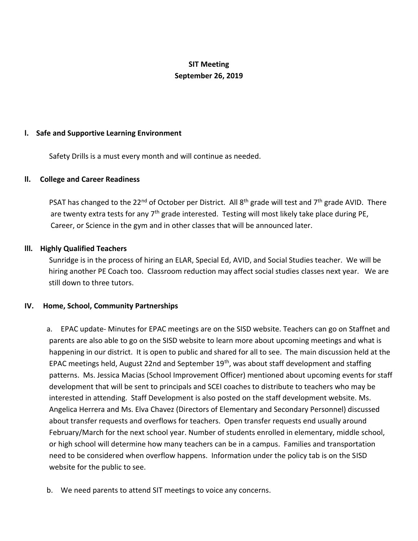# **SIT Meeting September 26, 2019**

## **l. Safe and Supportive Learning Environment**

Safety Drills is a must every month and will continue as needed.

#### **ll. College and Career Readiness**

PSAT has changed to the 22<sup>nd</sup> of October per District. All 8<sup>th</sup> grade will test and 7<sup>th</sup> grade AVID. There are twenty extra tests for any  $7<sup>th</sup>$  grade interested. Testing will most likely take place during PE, Career, or Science in the gym and in other classes that will be announced later.

## **lll. Highly Qualified Teachers**

Sunridge is in the process of hiring an ELAR, Special Ed, AVID, and Social Studies teacher. We will be hiring another PE Coach too. Classroom reduction may affect social studies classes next year. We are still down to three tutors.

#### **IV. Home, School, Community Partnerships**

a. EPAC update- Minutes for EPAC meetings are on the SISD website. Teachers can go on Staffnet and parents are also able to go on the SISD website to learn more about upcoming meetings and what is happening in our district. It is open to public and shared for all to see. The main discussion held at the EPAC meetings held, August 22nd and September 19<sup>th</sup>, was about staff development and staffing patterns. Ms. Jessica Macias (School Improvement Officer) mentioned about upcoming events for staff development that will be sent to principals and SCEI coaches to distribute to teachers who may be interested in attending. Staff Development is also posted on the staff development website. Ms. Angelica Herrera and Ms. Elva Chavez (Directors of Elementary and Secondary Personnel) discussed about transfer requests and overflows for teachers. Open transfer requests end usually around February/March for the next school year. Number of students enrolled in elementary, middle school, or high school will determine how many teachers can be in a campus. Families and transportation need to be considered when overflow happens. Information under the policy tab is on the SISD website for the public to see.

b. We need parents to attend SIT meetings to voice any concerns.